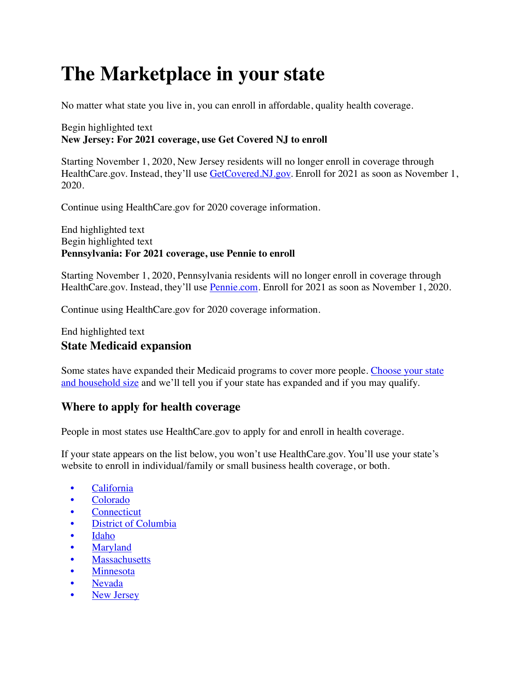# **The Marketplace in your state**

No matter what state you live in, you can enroll in affordable, quality health coverage.

#### Begin highlighted text **New Jersey: For 2021 coverage, use Get Covered NJ to enroll**

Starting November 1, 2020, New Jersey residents will no longer enroll in coverage through HealthCare.gov. Instead, they'll use [GetCovered.NJ.gov.](https://www.getcovered.nj.gov/) Enroll for 2021 as soon as November 1, 2020.

Continue using HealthCare.gov for 2020 coverage information.

End highlighted text Begin highlighted text **Pennsylvania: For 2021 coverage, use Pennie to enroll**

Starting November 1, 2020, Pennsylvania residents will no longer enroll in coverage through HealthCare.gov. Instead, they'll use [Pennie.com](https://www.pennie.com/). Enroll for 2021 as soon as November 1, 2020.

Continue using HealthCare.gov for 2020 coverage information.

#### End highlighted text **State Medicaid expansion**

Some states have expanded their Medicaid programs to cover more people. [Choose your state](https://www.healthcare.gov/lower-costs/)  [and household size](https://www.healthcare.gov/lower-costs/) and we'll tell you if your state has expanded and if you may qualify.

#### **Where to apply for health coverage**

People in most states use HealthCare.gov to apply for and enroll in health coverage.

If your state appears on the list below, you won't use HealthCare.gov. You'll use your state's website to enroll in individual/family or small business health coverage, or both.

- [California](https://www.healthcare.gov/marketplace-in-your-state/#ca)
- [Colorado](https://www.healthcare.gov/marketplace-in-your-state/#co)
- **[Connecticut](https://www.healthcare.gov/marketplace-in-your-state/#ct)**
- [District of Columbia](https://www.healthcare.gov/marketplace-in-your-state/#dc)
- [Idaho](https://www.healthcare.gov/marketplace-in-your-state/#idaho)
- **[Maryland](https://www.healthcare.gov/marketplace-in-your-state/#md)**
- **[Massachusetts](https://www.healthcare.gov/marketplace-in-your-state/#ma)**
- [Minnesota](https://www.healthcare.gov/marketplace-in-your-state/#mn)
- [Nevada](https://www.healthcare.gov/marketplace-in-your-state/#nv)
- **[New Jersey](https://www.healthcare.gov/marketplace-in-your-state/#nj)**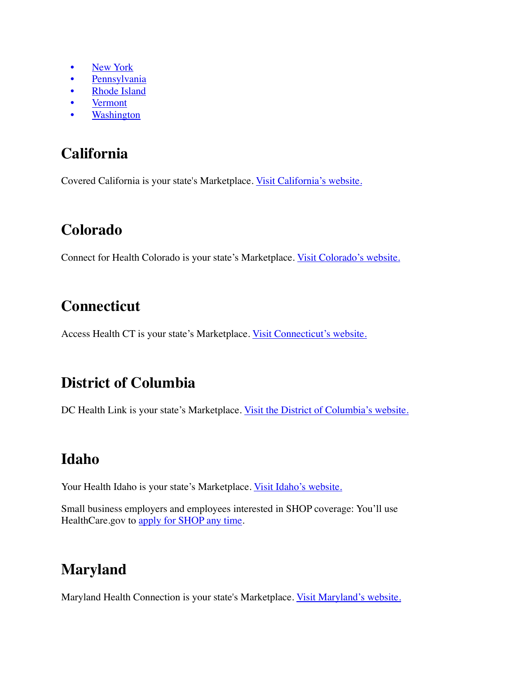- [New York](https://www.healthcare.gov/marketplace-in-your-state/#ny)
- [Pennsylvania](https://www.healthcare.gov/marketplace-in-your-state/#pa)
- [Rhode Island](https://www.healthcare.gov/marketplace-in-your-state/#ri)
- **[Vermont](https://www.healthcare.gov/marketplace-in-your-state/#vt)**
- **[Washington](https://www.healthcare.gov/marketplace-in-your-state/#wa)**

### **California**

Covered California is your state's Marketplace. [Visit California's website.](http://www.coveredca.com/)

### **Colorado**

Connect for Health Colorado is your state's Marketplace. [Visit Colorado's website.](http://www.connectforhealthco.com/)

# **Connecticut**

Access Health CT is your state's Marketplace. [Visit Connecticut's website.](http://www.accesshealthct.com/)

### **District of Columbia**

DC Health Link is your state's Marketplace. [Visit the District of Columbia's website.](https://dchealthlink.com/)

### **Idaho**

Your Health Idaho is your state's Marketplace. [Visit Idaho's website.](http://www.yourhealthidaho.org/)

Small business employers and employees interested in SHOP coverage: You'll use HealthCare.gov to apply for SHOP any time.

# **Maryland**

Maryland Health Connection is your state's Marketplace. [Visit Maryland's website.](http://www.marylandhealthconnection.gov/)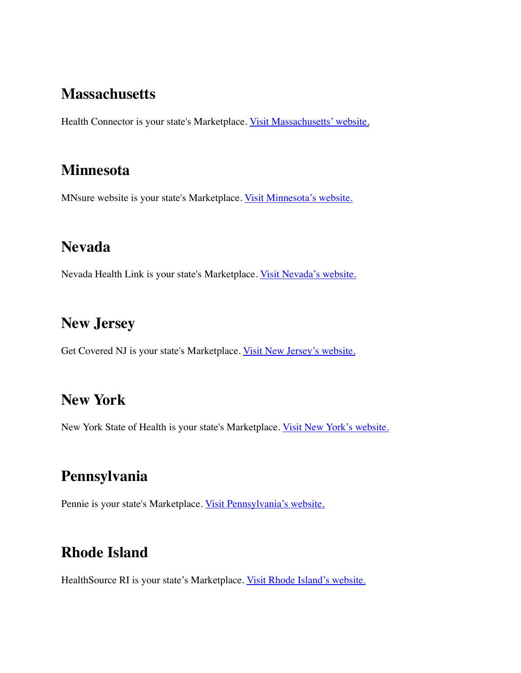#### **Massachusetts**

Health Connector is your state's Marketplace. [Visit Massachusetts' website.](https://www.mahealthconnector.org/)

### **Minnesota**

MNsure website is your state's Marketplace. [Visit Minnesota's website.](http://mn.gov/hix/)

### **Nevada**

Nevada Health Link is your state's Marketplace. [Visit Nevada's website.](https://www.nevadahealthlink.com/)

#### **New Jersey**

Get Covered NJ is your state's Marketplace. [Visit New Jersey's website.](https://www.getcovered.nj.gov/)

### **New York**

New York State of Health is your state's Marketplace. [Visit New York's website.](http://nystateofhealth.ny.gov/)

### **Pennsylvania**

Pennie is your state's Marketplace. [Visit Pennsylvania's website.](https://www.pennie.com/)

### **Rhode Island**

HealthSource RI is your state's Marketplace. [Visit Rhode Island's website.](http://www.healthsourceri.com/)